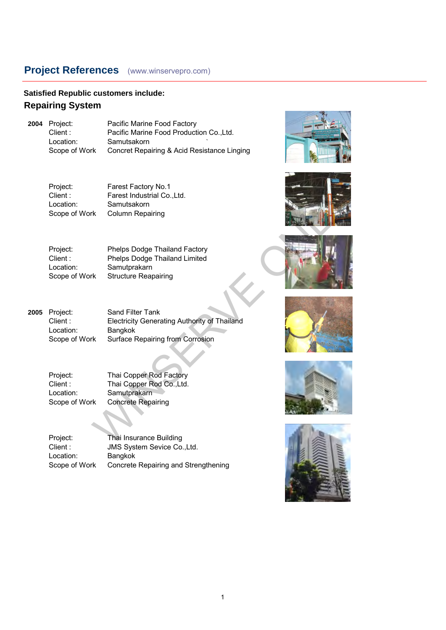#### **Satisfied Republic customers include: Repairing System**

**2004** Project: Pacific Marine Food Factory Client : Pacific Marine Food Production Co.,Ltd. Location: Samutsakorn Scope of Work Concret Repairing & Acid Resistance Linging

Project: Farest Factory No.1 Client : Farest Industrial Co., Ltd.<br>
Location: Samutsakorn Location: Samutsakorn<br>Scope of Work Column Repa **Column Repairing** 













Project: Phelps Dodge Thailand Factory<br>Client: Phelps Dodge Thailand Limited Client : Phelps Dodge Thailand Limited<br>
Location: Samutorakarn Location: Samutprakarn<br>Scope of Work Structure Rear Structure Reapairing

**2005** Project: Sand Filter Tank Client : Electricity Generating Authority of Thailand Location: Bangkok<br>Scope of Work Surface F Surface Repairing from Corrosion Farest Factory No.1<br>
Samutsakom<br>
K Column Repairing<br>
Melps Dodge Thailand Factory<br>
Phelps Dodge Thailand Limited<br>
Samutprakam<br>
K Structure Reapairing<br>
Sand Filter Tank<br>
Electricity Generating Authority of Thailand<br>
Bangkok

Project: Thai Copper Rod Factory<br>Client: Thai Copper Rod Co..Ltd. Thai Copper Rod Co., Ltd. Location: Samutprakarn<br>Scope of Work Concrete Repa **Concrete Repairing** 

Project: Thai Insurance Building<br>Client : JMS System Sevice Co. JMS System Sevice Co.,Ltd. Location: Bangkok<br>Scope of Work Concrete Concrete Repairing and Strengthening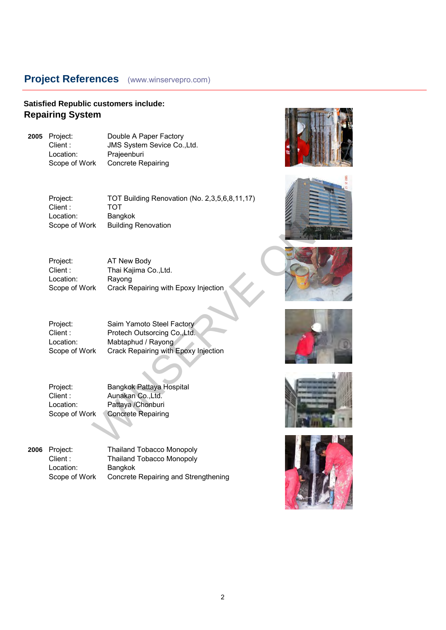### **Satisfied Republic customers include: Repairing System**

**2005** Project: Double A Paper Factory Client : JMS System Sevice Co., Ltd.<br>
Location: Prajeenburi Location: Prajeenburi<br>Scope of Work Concrete Re Concrete Repairing

> Project: TOT Building Renovation (No. 2,3,5,6,8,11,17) Client : TOT Location: Bangkok<br>Scope of Work Building F **Building Renovation** TOT<br>
> TOT<br>
> TOT<br>
> Bangkok<br>
> rk Building Renovation<br>
> AT New Body<br>
> Thai Kajima Co.,Ltd.<br>
> Rayong<br>
> Thai Kajima Co.,Ltd.<br>
> Crack Repairing with Epoxy Injection<br>
> Saim Yamoto Steel Factory<br>
> Protech Outsorcing Co.,Ltd.<br>
> Mabtaphud / Ray

Project: AT New Body<br>Client: Thai Kajima C Thai Kajima Co.,Ltd. Location: Rayong Scope of Work Crack Repairing with Epoxy Injection

Project: Saim Yamoto Steel Factory<br>Client: Protech Outsorcing Co., Ltd. Client : Protech Outsorcing Co., Ltd.<br>
Location: Mabtaphud / Ravong Mabtaphud / Rayong Scope of Work Crack Repairing with Epoxy Injection

Project: Bangkok Pattaya Hospital Client : Aunakan Co.,Ltd.<br>
Location: Pattaya /Chonburi Location: Pattaya /Chonburi<br>Scope of Work Concrete Repairing

Concrete Repairing

**2006** Project: Thailand Tobacco Monopoly<br>Client: Thailand Tobacco Monopoly Thailand Tobacco Monopoly Location: Bangkok Scope of Work Concrete Repairing and Strengthening











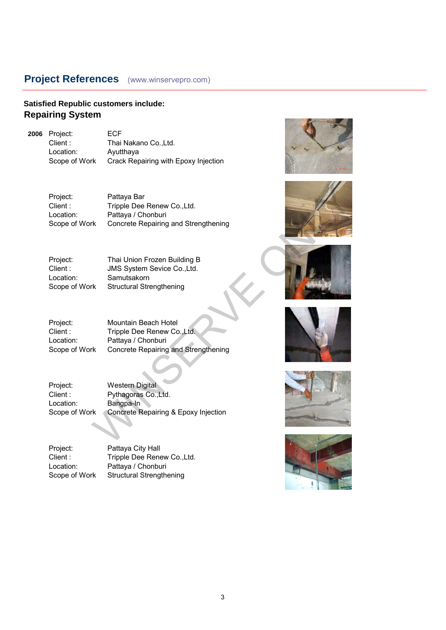#### **Satisfied Republic customers include: Repairing System**

**2006** Project: ECF<br>Client : Thai Location: Ayutthaya<br>Scope of Work Crack Rep

Client : Thai Nakano Co.,Ltd.<br>
Location: Avutthava Crack Repairing with Epoxy Injection

Project: Pattaya Bar<br>Client: Tripple Dee Tripple Dee Renew Co.,Ltd. Location: Pattaya / Chonburi Scope of Work Concrete Repairing and Strengthening Pattaya Bar<br>
Tripple Dee Renew Co.,Ltd.<br>
Pattaya / Chonburi<br>
K Concrete Repairing and Strengthening<br>
Thai Union Frozen Building B<br>
JMS System Sevice Co.,Ltd.<br>
Samutsakom<br>
K Structural Strengthening<br>
Mountain Beach Hotel<br>
T

Location: Samutsakorn Scope of Work Structural Strengthening

Project: Thai Union Frozen Building B<br>Client: JMS System Sevice Co..Ltd. JMS System Sevice Co.,Ltd.

Project: Mountain Beach Hotel Client : Tripple Dee Renew Co., Ltd. Location: Pattaya / Chonburi Scope of Work Concrete Repairing and Strengthening

Project: Western Digital Client : Pythagoras Co.,Ltd. Location: Bangpa-In Scope of Work Concrete Repairing & Epoxy Injection

Project: Pattaya City Hall Client : Tripple Dee Renew Co., Ltd. Location: Pattaya / Chonburi Scope of Work Structural Strengthening











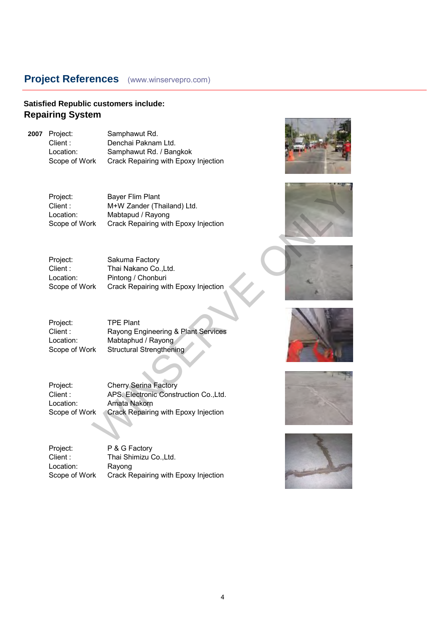### **Satisfied Republic customers include: Repairing System**

**2007** Project: Samphawut Rd.<br>Client : Denchai Paknan Client : Denchai Paknam Ltd.<br>
Location: Samphawut Rd. / Ban

Location: Samphawut Rd. / Bangkok<br>Scope of Work Crack Repairing with Epoxy Crack Repairing with Epoxy Injection

Project: Bayer Flim Plant<br>Client: M+W Zander (The M+W Zander (Thailand) Ltd. Location: Mabtapud / Rayong Scope of Work Crack Repairing with Epoxy Injection

Project: Sakuma Factory<br>Client: Thai Nakano Co. Thai Nakano Co.,Ltd. Location: Pintong / Chonburi Scope of Work Crack Repairing with Epoxy Injection

Project: TPE Plant Client : Rayong Engineering & Plant Services Location: Mabtaphud / Rayong Scope of Work Structural Strengthening

Project: Cherry Serina Factory Client : APS. Electronic Construction Co.,Ltd. Location: Amata Nakorn Scope of Work Crack Repairing with Epoxy Injection Bayer Flim Plant<br>
M+W Zander (Thailand) Ltd.<br>
Mabtapud / Rayong<br>
rk Crack Repairing with Epoxy Injection<br>
Sakuma Factory<br>
The iNakano Co.,Ltd.<br>
Pintong / Chonburi<br>
rk Crack Repairing with Epoxy Injection<br>
Mabtaphud / Rayon

Project: P & G Factory Client : Thai Shimizu Co., Ltd. Location: Rayong Scope of Work Crack Repairing with Epoxy Injection











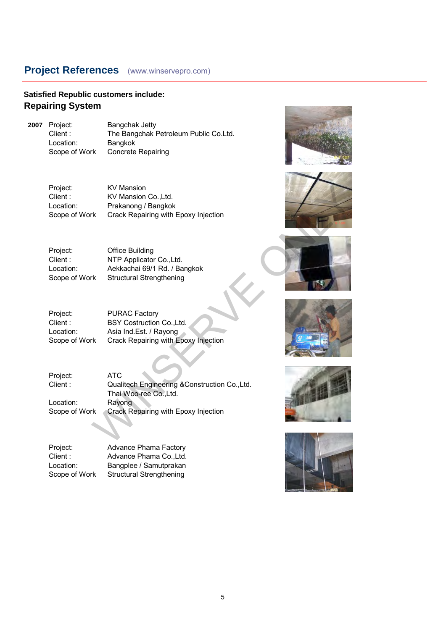### **Satisfied Republic customers include: Repairing System**

Location:<br>Scope of Work

**2007** Project: Bangchak Jetty<br>Client : The Bangchak F The Bangchak Petroleum Public Co.Ltd.<br>Bangkok Concrete Repairing

| Project:      | <b>PURAC Factory</b>                 |
|---------------|--------------------------------------|
| Client :      | BSY Costruction Co., Ltd.            |
| Location:     | Asia Ind.Est. / Rayong               |
| Scope of Work | Crack Repairing with Epoxy Injection |
|               |                                      |

| Project:<br>Client :<br>Location:<br>Scope of Work | <b>KV Mansion</b><br>KV Mansion Co., Ltd.<br>Prakanong / Bangkok<br>Crack Repairing with Epoxy Injection                                |  |
|----------------------------------------------------|-----------------------------------------------------------------------------------------------------------------------------------------|--|
| Project:<br>Client :<br>Location:<br>Scope of Work | <b>Office Building</b><br>NTP Applicator Co., Ltd.<br>Aekkachai 69/1 Rd. / Bangkok<br><b>Structural Strengthening</b>                   |  |
| Project:<br>Client :<br>Location:<br>Scope of Work | <b>PURAC Factory</b><br>BSY Costruction Co., Ltd.<br>Asia Ind.Est. / Rayong<br>Crack Repairing with Epoxy Injection                     |  |
| Project:<br>Client :<br>Location:<br>Scope of Work | <b>ATC</b><br>Qualitech Engineering &Construction Co., Ltd.<br>Thai Woo-ree Co., Ltd.<br>Rayong<br>Crack Repairing with Epoxy Injection |  |
|                                                    |                                                                                                                                         |  |

Project: Advance Phama Factory<br>Client: Advance Phama Co..Ltd. Client : Advance Phama Co., Ltd.<br>
Location: Bangplee / Samutprakan Location: Bangplee / Samutprakan<br>Scope of Work Structural Strengthening Structural Strengthening











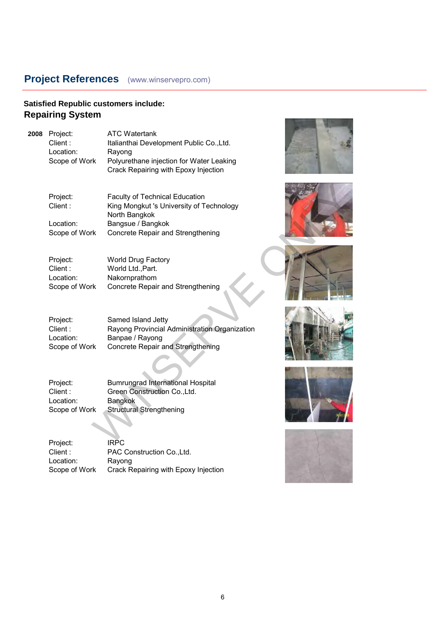# **Satisfied Republic customers include: Repairing System**

**2008** 

| Project:<br>Client:<br>Location:<br>Scope of Work | <b>ATC Watertank</b><br>Italianthai Development Public Co., Ltd.<br>Rayong<br>Polyurethane injection for Water Leaking<br>Crack Repairing with Epoxy Injection |  |
|---------------------------------------------------|----------------------------------------------------------------------------------------------------------------------------------------------------------------|--|
| Project:<br>Client:<br>Location:<br>Scope of Work | <b>Faculty of Technical Education</b><br>King Mongkut 's University of Technology<br>North Bangkok<br>Bangsue / Bangkok<br>Concrete Repair and Strengthening   |  |
| Project:<br>Client:<br>Location:<br>Scope of Work | <b>World Drug Factory</b><br>World Ltd., Part.<br>Nakornprathom<br>Concrete Repair and Strengthening                                                           |  |
| Project:<br>Client:<br>Location:<br>Scope of Work | Samed Island Jetty<br>Rayong Provincial Administration Organization<br>Banpae / Rayong<br><b>Concrete Repair and Strengthening</b>                             |  |
| Project:<br>Client:<br>Location:<br>Scope of Work | <b>Bumrungrad International Hospital</b><br>Green Construction Co., Ltd.<br>Bangkok<br><b>Structural Strengthening</b>                                         |  |
| Project:<br>Client:<br>Location:<br>Scope of Work | <b>IRPC</b><br>PAC Construction Co., Ltd.<br>Rayong<br>Crack Repairing with Epoxy Injection                                                                    |  |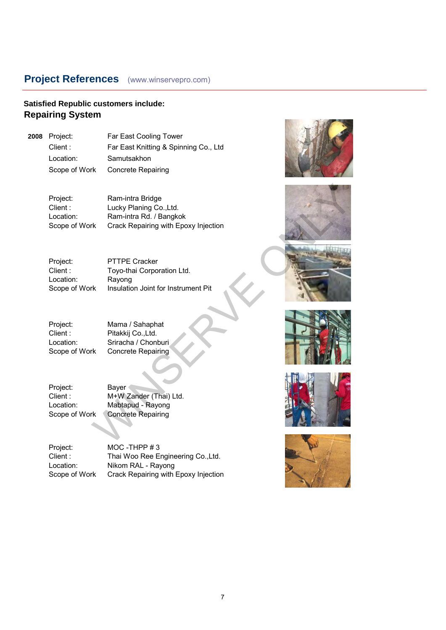### **Satisfied Republic customers include: Repairing System**

**2008** Project: Far East Cooling Tower Client : Far East Knitting & Spinning Co., Ltd Location: Samutsakhon Scope of Work Concrete Repairing

> Project: Ram-intra Bridge Client : Lucky Planing Co., Ltd. Location: Ram-intra Rd. / Bangkok Scope of Work Crack Repairing with Epoxy Injection Ram-intra Bridge<br>
> Lucky Planing Co...Ltd.<br>
> Ram-intra Rd. / Bangkok<br>
> Kr. Crack Repairing with Epoxy Injection<br>
> PTTPE Cracker<br>
> Toyo-thai Corporation Ltd.<br>
> Rayong<br>
> Mama / Sahaphat<br>
> Pitakkij Co.,Ltd.<br>
> Siriacha / Chonburi<br>
> Khon

Project: PTTPE Cracker Client : Toyo-thai Corporation Ltd. Location: Rayong Scope of Work Insulation Joint for Instrument Pit

Project: Mama / Sahaphat<br>Client: Pitakkii Co..Ltd.

Pitakkij Co.,Ltd. Location: Sriracha / Chonburi<br>Scope of Work Concrete Repairing Concrete Repairing

Project: Bayer<br>Client: M+WZ Location: Mabtapud - Rayong<br>Scope of Work Concrete Repairing

M+W Zander (Thai) Ltd. **Concrete Repairing** 

Project: MOC -THPP # 3<br>Client: Thai Woo Ree Fi Client : Thai Woo Ree Engineering Co., Ltd.<br>
Location: Nikom RAL - Rayong Nikom RAL - Rayong Scope of Work Crack Repairing with Epoxy Injection











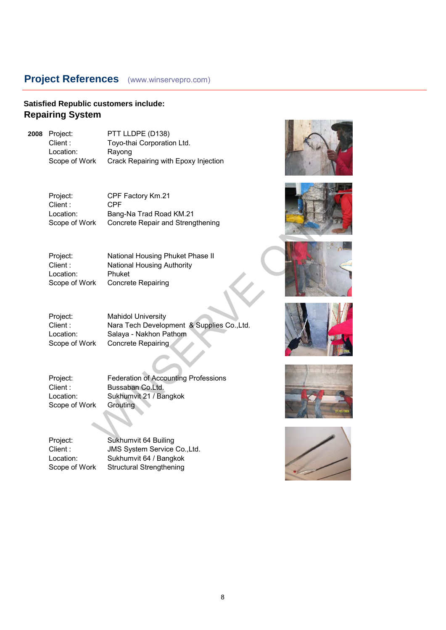### **Satisfied Republic customers include: Repairing System**

**2008** Project: PTT LLDPE (D138)<br>Client : Toyo-thai Corporation Client : Toyo-thai Corporation Ltd.<br>
Location: Ravong Location: Rayong<br>Scope of Work Crack R Crack Repairing with Epoxy Injection

> Project: CPF Factory Km.21<br>Client: CPF  $Client:$ Location: Bang-Na Trad Road KM.21 Scope of Work Concrete Repair and Strengthening

Project: National Housing Phuket Phase II Client : National Housing Authority<br>
Location: Phuket Location:<br>Scope of Work **Concrete Repairing** 

Project: Mahidol University<br>Client: Nara Tech Develop Nara Tech Development & Supplies Co.,Ltd. Location: Salaya - Nakhon Pathom Scope of Work Concrete Repairing CPF Factory Km.21<br>
CPF<br>
Bang-Na Trad Road KM.21<br>
rk<br>
Concrete Repair and Strengthening<br>
National Housing Phuket Phase II<br>
National Housing Authority<br>
Phuket<br>
Phuket<br>
Concrete Repairing<br>
Mahidol University<br>
Nata Tech Develo

Project: Federation of Accounting Professions<br>Client: Bussaban Co.Ltd. Bussaban Co.Ltd. Location: Sukhumvit 21 / Bangkok<br>Scope of Work Grouting Scope of Work

Project: Sukhumvit 64 Builing<br>Client: JMS System Service JMS System Service Co.,Ltd. Location: Sukhumvit 64 / Bangkok Scope of Work Structural Strengthening











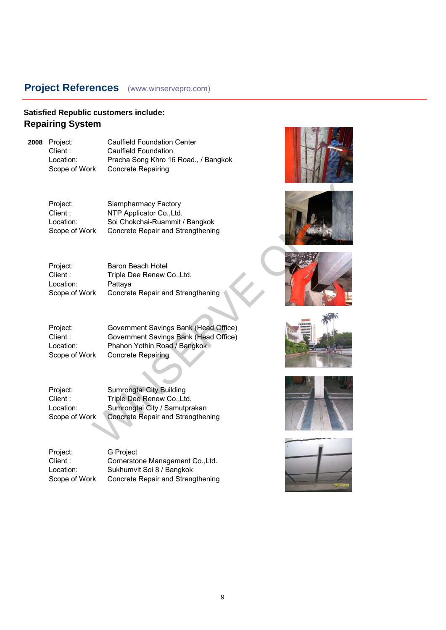### **Satisfied Republic customers include: Repairing System**

**2008** Project: Caulfield Foundation Center<br>Client : Caulfield Foundation Client : Caulfield Foundation<br>
Location: Pracha Song Khro 16 Location: Pracha Song Khro 16 Road., / Bangkok<br>Scope of Work Concrete Repairing Concrete Repairing

| Baron Beach Hotel                 |
|-----------------------------------|
| Triple Dee Renew Co., Ltd.        |
| Pattaya                           |
| Concrete Repair and Strengthening |
|                                   |

| Project:<br>Client :<br>Location:<br>Scope of Work | Siampharmacy Factory<br>NTP Applicator Co., Ltd.<br>Soi Chokchai-Ruammit / Bangkok<br>Concrete Repair and Strengthening                     |  |
|----------------------------------------------------|---------------------------------------------------------------------------------------------------------------------------------------------|--|
| Project:<br>Client :<br>Location:<br>Scope of Work | Baron Beach Hotel<br>Triple Dee Renew Co., Ltd.<br>Pattaya<br>Concrete Repair and Strengthening                                             |  |
| Project:<br>Client :<br>Location:<br>Scope of Work | Government Savings Bank (Head Office)<br>Government Savings Bank (Head Office)<br>Phahon Yothin Road / Bangkok<br><b>Concrete Repairing</b> |  |
| Project:<br>Client :<br>Location:<br>Scope of Work | Sumrongtai City Building<br>Triple Dee Renew Co., Ltd.<br>Sumrongtai City / Samutprakan<br><b>Concrete Repair and Strengthening</b>         |  |
|                                                    |                                                                                                                                             |  |

Project: G Project<br>Client : Cornersto Cornerstone Management Co.,Ltd. Location: Sukhumvit Soi 8 / Bangkok Scope of Work Concrete Repair and Strengthening











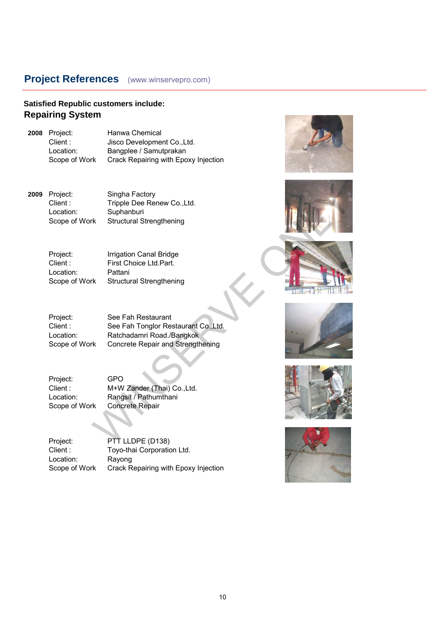### **Satisfied Republic customers include: Repairing System**

| 2008 Project: | Hanwa Chemical                       |
|---------------|--------------------------------------|
| Client:       | Jisco Development Co., Ltd.          |
| Location:     | Bangplee / Samutprakan               |
| Scope of Work | Crack Repairing with Epoxy Injection |
|               |                                      |

**2009** Project: Singha Factory<br>Client : Tripple Dee Rer Location: Suphanburi

| <b>Irrigation Canal Bridge</b>  |
|---------------------------------|
| First Choice Ltd.Part.          |
| Pattani                         |
| <b>Structural Strengthening</b> |
|                                 |

| Project:<br>Client:<br>Location:<br>Scope of Work | Singha Factory<br>Tripple Dee Renew Co., Ltd.<br>Suphanburi<br><b>Structural Strengthening</b>                               |  |
|---------------------------------------------------|------------------------------------------------------------------------------------------------------------------------------|--|
| Project:<br>Client:<br>Location:<br>Scope of Work | Irrigation Canal Bridge<br>First Choice Ltd.Part.<br>Pattani<br><b>Structural Strengthening</b>                              |  |
| Project:<br>Client:<br>Location:<br>Scope of Work | See Fah Restaurant<br>See Fah Tonglor Restaurant Co., Ltd.<br>Ratchadamri Road./Bangkok<br>Concrete Repair and Strengthening |  |
| Project:<br>Client:<br>Location:<br>Scope of Work | <b>GPO</b><br>M+W Zander (Thai) Co., Ltd.<br>Rangsit / Pathumthani<br><b>Concrete Repair</b>                                 |  |
| Project:                                          | PTT LLDPE (D138)                                                                                                             |  |

| Project:      | GPO                    |
|---------------|------------------------|
| Client:       | M+W Zander (Th         |
| Location:     | Rangsit / Pathum       |
| Scope of Work | <b>Concrete Repair</b> |

| Project:      | PTT LLDPE (D138)                     |
|---------------|--------------------------------------|
| Client :      | Toyo-thai Corporation Ltd.           |
| Location:     | Rayong                               |
| Scope of Work | Crack Repairing with Epoxy Injection |











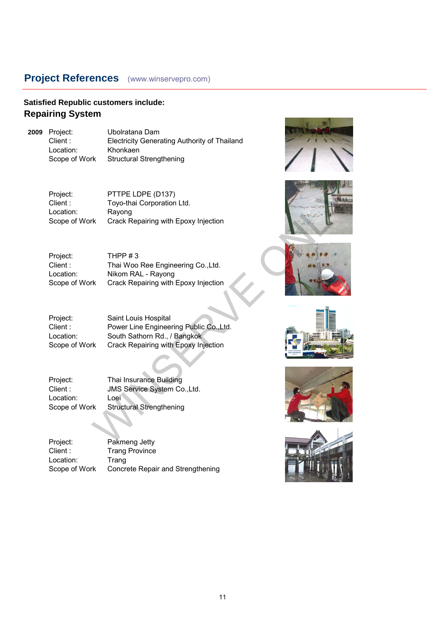### **Satisfied Republic customers include: Repairing System**

**2009** Project: Ubolratana Dam Client : Electricity Generating Authority of Thailand Location: Khonkaen Scope of Work Structural Strengthening

Project: PTTPE LDPE (D137)<br>Client : Toyo-thai Corporation Toyo-thai Corporation Ltd. Location: Rayong Scope of Work Crack Repairing with Epoxy Injection

| Project:      | THPP $#3$                            |
|---------------|--------------------------------------|
| Client :      | Thai Woo Ree Engineering Co., Ltd.   |
| Location:     | Nikom RAL - Rayong                   |
| Scope of Work | Crack Repairing with Epoxy Injection |

Project: Saint Louis Hospital Client : Power Line Engineering Public Co.,Ltd. Location: South Sathorn Rd., / Bangkok Scope of Work Crack Repairing with Epoxy Injection PTTPE LDPE (D137)<br>
Toyo-thai Corporation Ltd.<br>
Rayong<br>
K Crack Repairing with Epoxy Injection<br>
THPP #3<br>
Thai Woo Ree Engineering Co.,Ltd.<br>
Nikom RAL - Rayong<br>
K Crack Repairing with Epoxy Injection<br>
Saint Louis Hospital<br>
P

Project: Thai Insurance Building<br>Client: JMS Service System Co JMS Service System Co.,Ltd.<br>Loei Location:<br>Scope of Work Structural Strengthening

Project: Pakmeng Jetty<br>Client: Trang Province Trang Province Location: Trang Scope of Work Concrete Repair and Strengthening











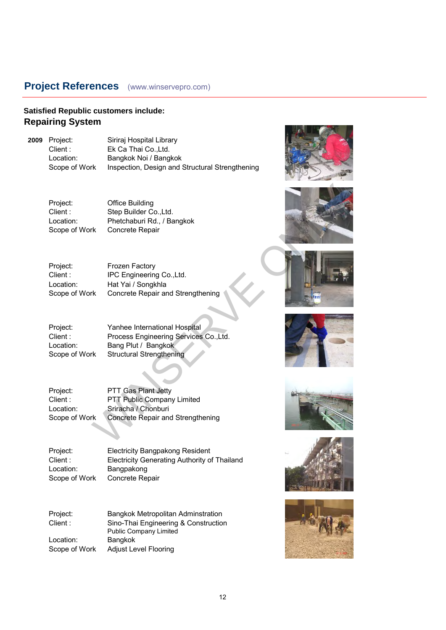#### **Satisfied Republic customers include: Repairing System**

**2009** Project: Siriraj Hospital Library Client : Ek Ca Thai Co., Ltd. Location: Bangkok Noi / Bangkok Scope of Work Inspection, Design and Structural Strengthening

Project: Office Building Scope of Work Concrete Repair

Client : Step Builder Co., Ltd. Location: Phetchaburi Rd., / Bangkok

| Project:      | <b>Frozen Factory</b>             |
|---------------|-----------------------------------|
| Client :      | IPC Engineering Co., Ltd.         |
| Location:     | Hat Yai / Songkhla                |
| Scope of Work | Concrete Repair and Strengthening |

Project: Yanhee International Hospital Client : Process Engineering Services Co.,Ltd. Location: Bang Plut / Bangkok Scope of Work Structural Strengthening Office Building<br>
Step Building Co., Ltd.<br>
Phetchaburi Rd., / Bangkok<br>
K Concrete Repair<br>
Frozen Factory<br>
IPC Engineering Co., Ltd.<br>
Hat Yai / Songkhla<br>
K Concrete Repair and Strengthening<br>
Process Engineering Services Co.,

Project: PTT Gas Plant Jetty<br>Client : PTT Public Company Client : PTT Public Company Limited<br>
Location: Sriracha / Chonburi Sriracha / Chonburi Scope of Work Concrete Repair and Strengthening

Project: Electricity Bangpakong Resident Client : Electricity Generating Authority of Thailand Location: Bangpakong Scope of Work Concrete Repair

Project: Bangkok Metropolitan Adminstration Client : Sino-Thai Engineering & Construction Public Company Limited Location: Bangkok Scope of Work Adjust Level Flooring













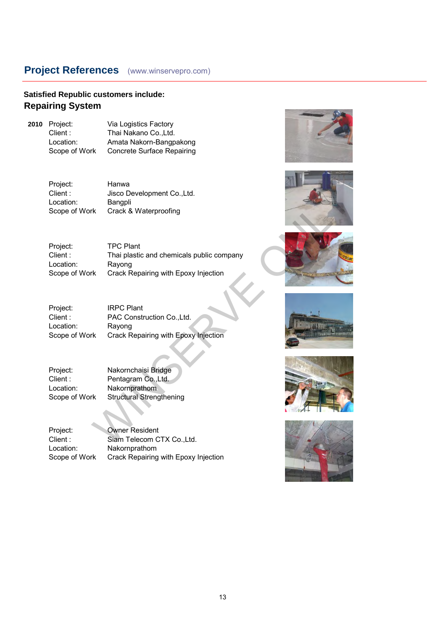### **Satisfied Republic customers include: Repairing System**

**2010** Project: Via Logistics Factory<br>Client: Thai Nakano Co..Ltd. Client : Thai Nakano Co., Ltd.<br>
Location: Amata Nakorn-Bangp Location: Amata Nakorn-Bangpakong<br>Scope of Work Concrete Surface Repairing **Concrete Surface Repairing** 

> Project: Hanwa<br>Client: Jisco D Client : Jisco Development Co., Ltd.<br>
> Location: Bangoli Location: Bangpli<br>Scope of Work Crack & Crack & Waterproofing

Project: TPC Plant<br>Client : Thai plastic Thai plastic and chemicals public company Location: Rayong Scope of Work Crack Repairing with Epoxy Injection Hanwa<br>
Jisco Development Co.,Ltd.<br>
Bangpli<br>
rk Crack & Waterproofing<br>
TPC Plant<br>
Thai plastic and chemicals public company<br>
Rayong<br>
rk Crack Repairing with Epoxy Injection<br>
With Crack Repairing with Epoxy Injection<br>
RPC Pl

Project: IRPC Plant<br>Client: PAC Constr Client : PAC Construction Co., Ltd.<br>
Location: Ravong Location: Rayong<br>Scope of Work Crack R **Crack Repairing with Epoxy Injection** 

| Project:      | Nakornchaisi Bridge             |
|---------------|---------------------------------|
| Client :      | Pentagram Co., Ltd.             |
| Location:     | Nakornprathom                   |
| Scope of Work | <b>Structural Strengthening</b> |

Project: Owner Resident Client : Siam Telecom CTX Co., Ltd. Location: Nakornprathom Scope of Work Crack Repairing with Epoxy Injection











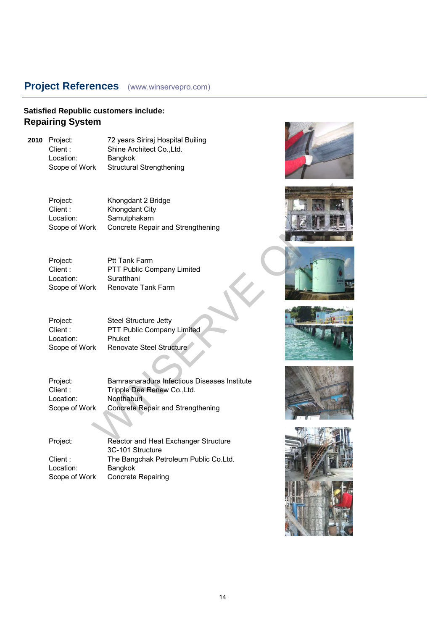### **Satisfied Republic customers include: Repairing System**

**2010** Project: 72 years Siriraj Hospital Builing<br>Client: Shine Architect Co..Ltd. Shine Architect Co., Ltd. Location: Bangkok Scope of Work Structural Strengthening

| Project:      | <b>Ptt Tank Farm</b>       |
|---------------|----------------------------|
| Client :      | PTT Public Company Limited |
| Location:     | Suratthani                 |
| Scope of Work | Renovate Tank Farm         |

| Project:      | <b>Steel Structure Jetty</b> |
|---------------|------------------------------|
| Client :      | PTT Public Company Limited   |
| Location:     | Phuket                       |
| Scope of Work | Renovate Steel Structure     |

| Project:<br>Client :<br>Location:<br>Scope of Work | Khongdant 2 Bridge<br>Khongdant City<br>Samutphakarn<br>Concrete Repair and Strengthening                                      |  |
|----------------------------------------------------|--------------------------------------------------------------------------------------------------------------------------------|--|
| Project:<br>Client:<br>Location:<br>Scope of Work  | <b>Ptt Tank Farm</b><br>PTT Public Company Limited<br>Suratthani<br>Renovate Tank Farm                                         |  |
| Project:<br>Client:<br>Location:<br>Scope of Work  | <b>Steel Structure Jetty</b><br>PTT Public Company Limited<br>Phuket<br>Renovate Steel Structure                               |  |
| Project:<br>Client:<br>Location:<br>Scope of Work  | Bamrasnaradura Infectious Diseases Institute<br>Tripple Dee Renew Co., Ltd.<br>Nonthaburi<br>Concrete Repair and Strengthening |  |
| Project:                                           | Reactor and Heat Exchanger Structure                                                                                           |  |

| Project:      | Reactor and Heat Exchanger Structure  |
|---------------|---------------------------------------|
|               | 3C-101 Structure                      |
| Client :      | The Bangchak Petroleum Public Co.Ltd. |
| Location:     | Bangkok                               |
| Scope of Work | Concrete Repairing                    |
|               |                                       |











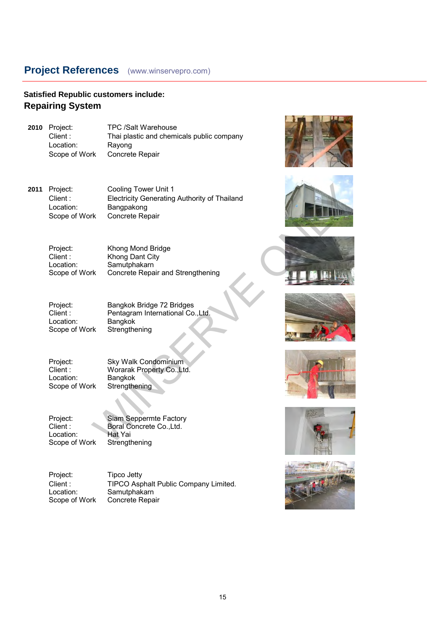#### **Satisfied Republic customers include: Repairing System**

**2010** Project: TPC /Salt Warehouse<br>Client: Thai plastic and chemi Thai plastic and chemicals public company Location: Rayong<br>Scope of Work Concret Concrete Repair

**2011** Project: Cooling Tower Unit 1<br>Client : Electricity Generating Electricity Generating Authority of Thailand Location: Bangpakong Scope of Work Concrete Repair Cooling Tower Unit 1<br>
Electricty Generating Authority of Thailand<br>
Bangpakong<br>
The Concrete Repair<br>
Khong Dana City<br>
Khong Dana City<br>
Samutphakarm<br>
Khong Dana City<br>
Samutphakarm<br>
Sama Stengthening<br>
Bangkok<br>
Strengthening<br>

Project: Khong Mond Bridge<br>Client: Khong Dant City Client : Khong Dant City<br>
Location: Samutphakarn Samutphakarn Scope of Work Concrete Repair and Strengthening

Location:<br>Scope of Work

Project: Bangkok Bridge 72 Bridges<br>Client: Pentagram International Co Pentagram International Co.,Ltd.<br>Bangkok Strengthening

Project: Sky Walk Condominium<br>Client: Worarak Property Co..Lt Worarak Property Co.,Ltd.<br>Bangkok Location: Scope of Work Strengthening

Project: Siam Seppermte Factory<br>Client: Boral Concrete Co., Ltd. Boral Concrete Co.,Ltd. Location: Hat Yai<br>Scope of Work Strengthening Scope of Work

Project: Tipco Jetty<br>Client: TIPCO Asp Client : TIPCO Asphalt Public Company Limited.<br>
Location: Samutphakarn Location: Samutphakarn<br>Scope of Work Concrete Repa Concrete Repair













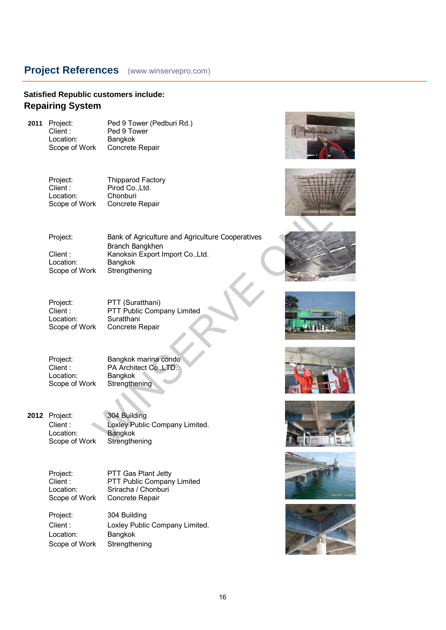#### **Satisfied Republic customers include: Repairing System**

Client : Ped 9 Tower<br>
Location: Bangkok Scope of Work

**2011** Project: Ped 9 Tower (Pedburi Rd.)<br>Client: Ped 9 Tower Bangkok<br>Concrete Repair

> Project: Thipparod Factory<br>Client: Pirod Co..Ltd. Pirod Co.,Ltd.<br>Chonburi Location: Chonburi<br>Scope of Work Concrete Repair Scope of Work



Project: PTT (Suratthani)<br>Client: PTT Public Comi Client : PTT Public Company Limited<br>
Location: Suratthani Location: Suratthani<br>Scope of Work Concrete F Concrete Repair

Project: Bangkok marina condo<br>Client: PA Architect Co..LTD. PA Architect Co.,LTD.<br>Bangkok Location: Bangkok<br>Scope of Work Strengthening Scope of Work

**2012** Project: 304 Building Client : Loxley Public Company Limited.<br>
Location: Bangkok Bangkok<br>Strengthening Scope of Work

Project: PTT Gas Plant Jetty<br>Client: PTT Public Company Client : PTT Public Company Limited<br>
Location: Sriracha / Chonburi Location: Sriracha / Chonburi<br>Scope of Work Concrete Repair Concrete Repair

Project: 304 Building Client : Loxley Public Company Limited. Location: Bangkok Scope of Work Strengthening















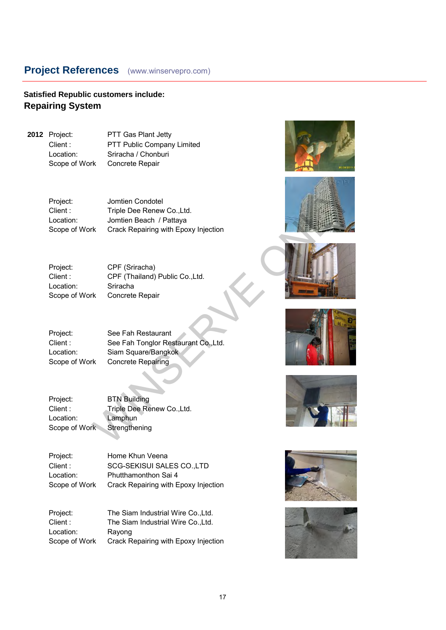#### **Satisfied Republic customers include: Repairing System**

**2012** Project: PTT Gas Plant Jetty Client : PTT Public Company Limited Location: Sriracha / Chonburi Scope of Work Concrete Repair

> Project: Jomtien Condotel Client : Triple Dee Renew Co., Ltd. Location: Jomtien Beach / Pattaya Scope of Work Crack Repairing with Epoxy Injection Jomtien Condotel<br>
> Triple Dee Renew Co.,Ltd.<br>
> Jomtien Beach / Pattaya<br>
> K Crack Repairing with Epoxy Injection<br>
> CPF (Siriacha)<br>
> CPF (Siriacha)<br>
> CPF (Siriacha)<br>
> CPF (Siriacha)<br>
> CPF (Siriacha)<br>
> CPF (Siriacha)<br>
> CPF (Siriacha)<br>

Project: CPF (Sriracha) Client : CPF (Thailand) Public Co.,Ltd. Location: Sriracha Scope of Work Concrete Repair

Project: See Fah Restaurant Client : See Fah Tonglor Restaurant Co.,Ltd. Location: Siam Square/Bangkok Scope of Work Concrete Repairing

Project: BTN Building Client : Triple Dee Renew Co., Ltd. Location: Lamphun Scope of Work Strengthening

Project: Home Khun Veena Client : SCG-SEKISUI SALES CO.,LTD Location: Phutthamonthon Sai 4 Scope of Work Crack Repairing with Epoxy Injection

Project: The Siam Industrial Wire Co.,Ltd. Client : The Siam Industrial Wire Co.,Ltd. Location: Rayong Scope of Work Crack Repairing with Epoxy Injection













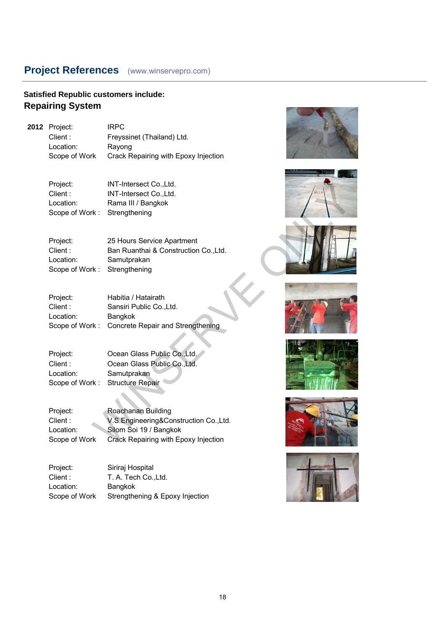### **Satisfied Republic customers include: Repairing System**

**2012** Project: IRPC Client : Freyssinet (Thailand) Ltd. Location: Rayong Scope of Work Crack Repairing with Epoxy Injection

> Project: INT-Intersect Co.,Ltd. Client : **INT-Intersect Co., Ltd.** Location: Rama III / Bangkok Scope of Work : Strengthening

| Project:<br>Client:                                | IN I-Intersect Co.,Ltd.<br>INT-Intersect Co., Ltd.                                                                            | $H_{1} +$ |
|----------------------------------------------------|-------------------------------------------------------------------------------------------------------------------------------|-----------|
| Location:                                          | Rama III / Bangkok                                                                                                            |           |
| Scope of Work:                                     | Strengthening                                                                                                                 |           |
| Project:<br>Client:<br>Location:<br>Scope of Work: | 25 Hours Service Apartment<br>Ban Ruanthai & Construction Co., Ltd.<br>Samutprakan<br>Strengthening                           |           |
| Project:<br>Client:<br>Location:<br>Scope of Work: | Habitia / Hatairath<br>Sansiri Public Co., Ltd.<br>Bangkok<br>Concrete Repair and Strengthening                               |           |
| Project:<br>Client:<br>Location:<br>Scope of Work: | Ocean Glass Public Co., Ltd.<br>Ocean Glass Public Co., Ltd.<br>Samutprakan<br><b>Structure Repair</b>                        |           |
| Project:<br>Client:<br>Location:<br>Scope of Work  | Roachanan Building<br>V.S.Engineering&Construction Co.,Ltd.<br>Silom Soi 19 / Bangkok<br>Crack Repairing with Epoxy Injection |           |

| Project:  | Ocean Glass Public Co., Ltd.    |
|-----------|---------------------------------|
| Client:   | Ocean Glass Public Co., Ltd.    |
| Location: | Samutprakan                     |
|           | Scope of Work: Structure Repair |

| Project:      | Siriraj Hospital                |
|---------------|---------------------------------|
| Client :      | T. A. Tech CoLtd.               |
| Location:     | <b>Bangkok</b>                  |
| Scope of Work | Strengthening & Epoxy Injection |